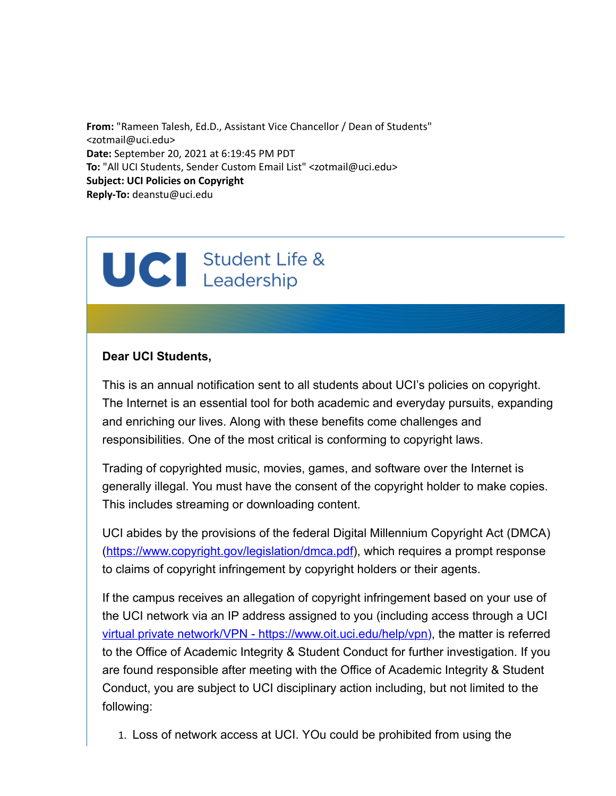**From:** "Rameen Talesh, Ed.D., Assistant Vice Chancellor / Dean of Students" <zotmail@uci.edu> **Date:** September 20, 2021 at 6:19:45 PM PDT **To:** "All UCI Students, Sender Custom Email List" <zotmail@uci.edu> **Subject: UCI Policies on Copyright Reply-To:** deanstu@uci.edu

## UCI Student Life &

## **Dear UCI Students,**

This is an annual notification sent to all students about UCI's policies on copyright. The Internet is an essential tool for both academic and everyday pursuits, expanding and enriching our lives. Along with these benefits come challenges and responsibilities. One of the most critical is conforming to copyright laws.

Trading of copyrighted music, movies, games, and software over the Internet is generally illegal. You must have the consent of the copyright holder to make copies. This includes streaming or downloading content.

UCI abides by the provisions of the federal Digital Millennium Copyright Act (DMCA) (<https://www.copyright.gov/legislation/dmca.pdf>), which requires a prompt response to claims of copyright infringement by copyright holders or their agents.

If the campus receives an allegation of copyright infringement based on your use of the UCI network via an IP address assigned to you (including access through a UCI [virtual private network/VPN - https://www.oit.uci.edu/help/vpn\)](https://www.oit.uci.edu/help/vpn), the matter is referred to the Office of Academic Integrity & Student Conduct for further investigation. If you are found responsible after meeting with the Office of Academic Integrity & Student Conduct, you are subject to UCI disciplinary action including, but not limited to the following:

1. Loss of network access at UCI. YOu could be prohibited from using the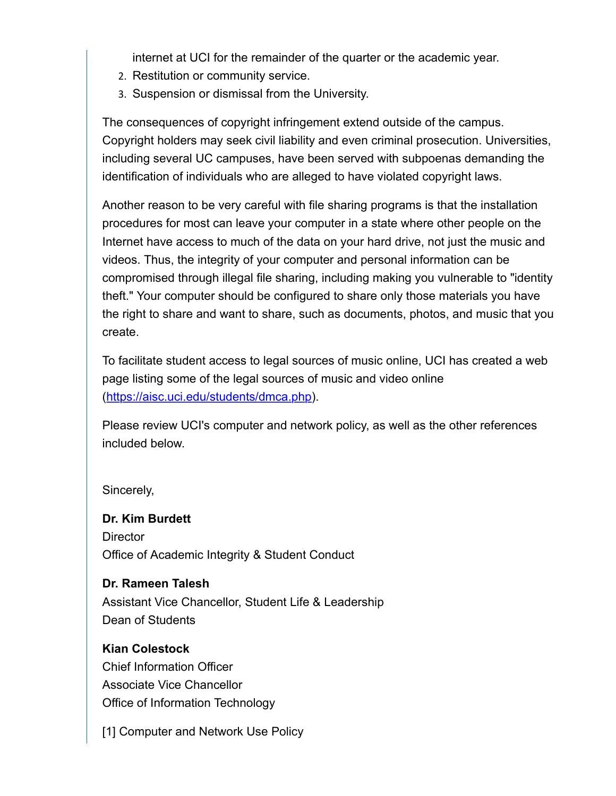internet at UCI for the remainder of the quarter or the academic year.

- 2. Restitution or community service.
- 3. Suspension or dismissal from the University.

The consequences of copyright infringement extend outside of the campus. Copyright holders may seek civil liability and even criminal prosecution. Universities, including several UC campuses, have been served with subpoenas demanding the identification of individuals who are alleged to have violated copyright laws.

Another reason to be very careful with file sharing programs is that the installation procedures for most can leave your computer in a state where other people on the Internet have access to much of the data on your hard drive, not just the music and videos. Thus, the integrity of your computer and personal information can be compromised through illegal file sharing, including making you vulnerable to "identity theft." Your computer should be configured to share only those materials you have the right to share and want to share, such as documents, photos, and music that you create.

To facilitate student access to legal sources of music online, UCI has created a web page listing some of the legal sources of music and video online ([https://aisc.uci.edu/students/dmca.php\)](https://aisc.uci.edu/students/dmca.php).

Please review UCI's computer and network policy, as well as the other references included below.

Sincerely,

**Dr. Kim Burdett Director** Office of Academic Integrity & Student Conduct

**Dr. Rameen Talesh** Assistant Vice Chancellor, Student Life & Leadership Dean of Students

**Kian Colestock** Chief Information Officer Associate Vice Chancellor Office of Information Technology

[1] Computer and Network Use Policy